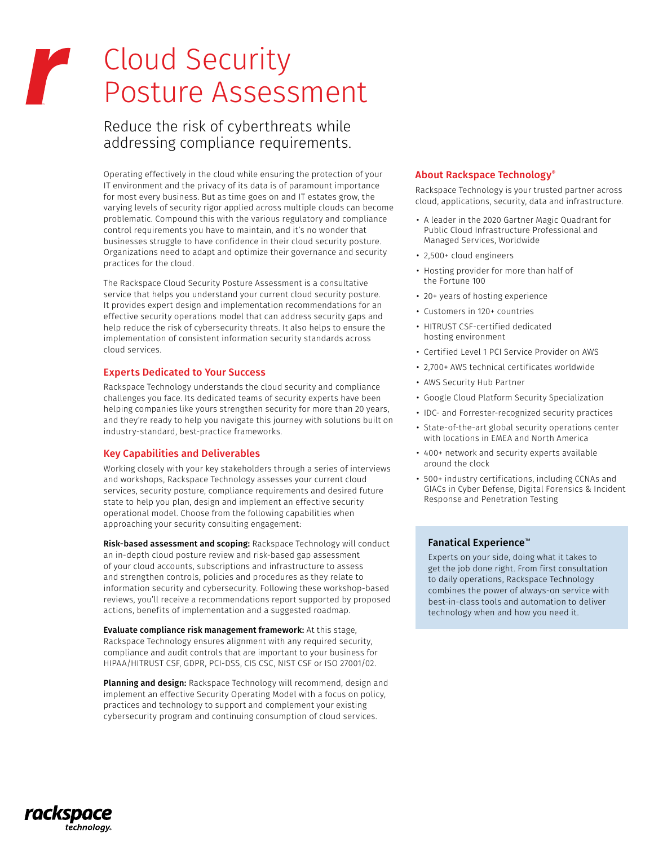# Cloud Security r Posture Assessment

# Reduce the risk of cyberthreats while addressing compliance requirements.

Operating effectively in the cloud while ensuring the protection of your IT environment and the privacy of its data is of paramount importance for most every business. But as time goes on and IT estates grow, the varying levels of security rigor applied across multiple clouds can become problematic. Compound this with the various regulatory and compliance control requirements you have to maintain, and it's no wonder that businesses struggle to have confidence in their cloud security posture. Organizations need to adapt and optimize their governance and security practices for the cloud.

The Rackspace Cloud Security Posture Assessment is a consultative service that helps you understand your current cloud security posture. It provides expert design and implementation recommendations for an effective security operations model that can address security gaps and help reduce the risk of cybersecurity threats. It also helps to ensure the implementation of consistent information security standards across cloud services.

#### Experts Dedicated to Your Success

Rackspace Technology understands the cloud security and compliance challenges you face. Its dedicated teams of security experts have been helping companies like yours strengthen security for more than 20 years, and they're ready to help you navigate this journey with solutions built on industry-standard, best-practice frameworks.

# Key Capabilities and Deliverables

Working closely with your key stakeholders through a series of interviews and workshops, Rackspace Technology assesses your current cloud services, security posture, compliance requirements and desired future state to help you plan, design and implement an effective security operational model. Choose from the following capabilities when approaching your security consulting engagement:

Risk-based assessment and scoping: Rackspace Technology will conduct an in-depth cloud posture review and risk-based gap assessment of your cloud accounts, subscriptions and infrastructure to assess and strengthen controls, policies and procedures as they relate to information security and cybersecurity. Following these workshop-based reviews, you'll receive a recommendations report supported by proposed actions, benefits of implementation and a suggested roadmap.

Evaluate compliance risk management framework: At this stage, Rackspace Technology ensures alignment with any required security, compliance and audit controls that are important to your business for HIPAA/HITRUST CSF, GDPR, PCI-DSS, CIS CSC, NIST CSF or ISO 27001/02.

Planning and design: Rackspace Technology will recommend, design and implement an effective Security Operating Model with a focus on policy, practices and technology to support and complement your existing cybersecurity program and continuing consumption of cloud services.

# About Rackspace Technology®

Rackspace Technology is your trusted partner across cloud, applications, security, data and infrastructure.

- A leader in the 2020 Gartner Magic Quadrant for Public Cloud Infrastructure Professional and Managed Services, Worldwide
- 2,500+ cloud engineers
- Hosting provider for more than half of the Fortune 100
- 20+ years of hosting experience
- Customers in 120+ countries
- HITRUST CSF-certified dedicated hosting environment
- Certified Level 1 PCI Service Provider on AWS
- 2,700+ AWS technical certificates worldwide
- AWS Security Hub Partner
- Google Cloud Platform Security Specialization
- IDC- and Forrester-recognized security practices
- State-of-the-art global security operations center with locations in EMEA and North America
- 400+ network and security experts available around the clock
- 500+ industry certifications, including CCNAs and GIACs in Cyber Defense, Digital Forensics & Incident Response and Penetration Testing

# Fanatical Experience™

Experts on your side, doing what it takes to get the job done right. From first consultation to daily operations, Rackspace Technology combines the power of always-on service with best-in-class tools and automation to deliver technology when and how you need it.